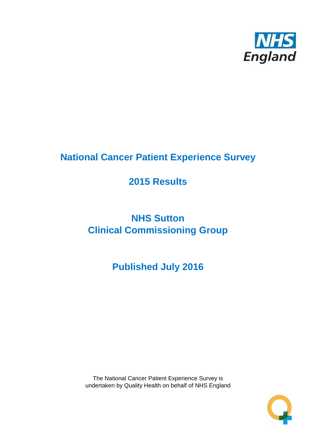

# **National Cancer Patient Experience Survey**

# **2015 Results**

# **NHS Sutton Clinical Commissioning Group**

**Published July 2016**

The National Cancer Patient Experience Survey is undertaken by Quality Health on behalf of NHS England

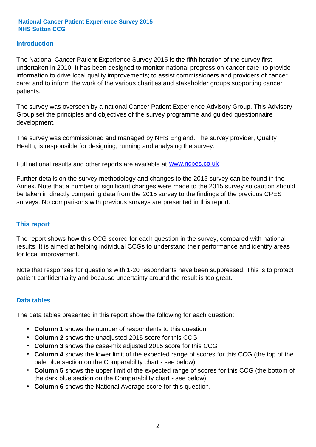### **Introduction**

The National Cancer Patient Experience Survey 2015 is the fifth iteration of the survey first undertaken in 2010. It has been designed to monitor national progress on cancer care; to provide information to drive local quality improvements; to assist commissioners and providers of cancer care; and to inform the work of the various charities and stakeholder groups supporting cancer patients.

The survey was overseen by a national Cancer Patient Experience Advisory Group. This Advisory Group set the principles and objectives of the survey programme and guided questionnaire development.

The survey was commissioned and managed by NHS England. The survey provider, Quality Health, is responsible for designing, running and analysing the survey.

Full national results and other reports are available at www.ncpes.co.uk

Further details on the survey methodology and changes to the 2015 survey can be found in the Annex. Note that a number of significant changes were made to the 2015 survey so caution should be taken in directly comparing data from the 2015 survey to the findings of the previous CPES surveys. No comparisons with previous surveys are presented in this report.

#### **This report**

The report shows how this CCG scored for each question in the survey, compared with national results. It is aimed at helping individual CCGs to understand their performance and identify areas for local improvement.

Note that responses for questions with 1-20 respondents have been suppressed. This is to protect patient confidentiality and because uncertainty around the result is too great.

#### **Data tables**

The data tables presented in this report show the following for each question:

- **Column 1** shows the number of respondents to this question
- **Column 2** shows the unadjusted 2015 score for this CCG
- **Column 3** shows the case-mix adjusted 2015 score for this CCG
- **Column 4** shows the lower limit of the expected range of scores for this CCG (the top of the pale blue section on the Comparability chart - see below)
- **Column 5** shows the upper limit of the expected range of scores for this CCG (the bottom of the dark blue section on the Comparability chart - see below)
- **Column 6** shows the National Average score for this question.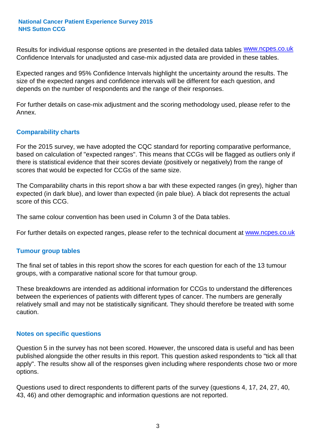Results for individual response options are presented in the detailed data tables **WWW.ncpes.co.uk** Confidence Intervals for unadjusted and case-mix adjusted data are provided in these tables.

Expected ranges and 95% Confidence Intervals highlight the uncertainty around the results. The size of the expected ranges and confidence intervals will be different for each question, and depends on the number of respondents and the range of their responses.

For further details on case-mix adjustment and the scoring methodology used, please refer to the Annex.

#### **Comparability charts**

For the 2015 survey, we have adopted the CQC standard for reporting comparative performance, based on calculation of "expected ranges". This means that CCGs will be flagged as outliers only if there is statistical evidence that their scores deviate (positively or negatively) from the range of scores that would be expected for CCGs of the same size.

The Comparability charts in this report show a bar with these expected ranges (in grey), higher than expected (in dark blue), and lower than expected (in pale blue). A black dot represents the actual score of this CCG.

The same colour convention has been used in Column 3 of the Data tables.

For further details on expected ranges, please refer to the technical document at **www.ncpes.co.uk** 

#### **Tumour group tables**

The final set of tables in this report show the scores for each question for each of the 13 tumour groups, with a comparative national score for that tumour group.

These breakdowns are intended as additional information for CCGs to understand the differences between the experiences of patients with different types of cancer. The numbers are generally relatively small and may not be statistically significant. They should therefore be treated with some caution.

#### **Notes on specific questions**

Question 5 in the survey has not been scored. However, the unscored data is useful and has been published alongside the other results in this report. This question asked respondents to "tick all that apply". The results show all of the responses given including where respondents chose two or more options.

Questions used to direct respondents to different parts of the survey (questions 4, 17, 24, 27, 40, 43, 46) and other demographic and information questions are not reported.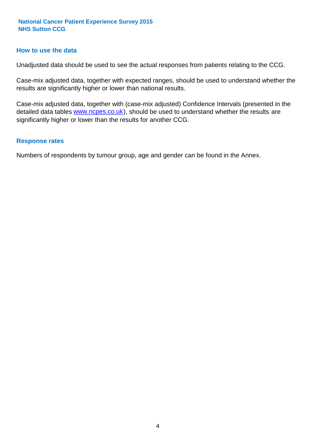#### **How to use the data**

Unadjusted data should be used to see the actual responses from patients relating to the CCG.

Case-mix adjusted data, together with expected ranges, should be used to understand whether the results are significantly higher or lower than national results.

Case-mix adjusted data, together with (case-mix adjusted) Confidence Intervals (presented in the detailed data tables **www.ncpes.co.uk**), should be used to understand whether the results are significantly higher or lower than the results for another CCG.

#### **Response rates**

Numbers of respondents by tumour group, age and gender can be found in the Annex.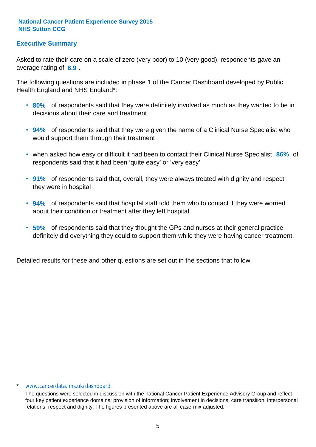## **Executive Summary**

average rating of **8.9**. Asked to rate their care on a scale of zero (very poor) to 10 (very good), respondents gave an

The following questions are included in phase 1 of the Cancer Dashboard developed by Public Health England and NHS England\*:

- **80%** of respondents said that they were definitely involved as much as they wanted to be in decisions about their care and treatment
- **94%** of respondents said that they were given the name of a Clinical Nurse Specialist who would support them through their treatment
- when asked how easy or difficult it had been to contact their Clinical Nurse Specialist 86% of respondents said that it had been 'quite easy' or 'very easy'
- **91%** of respondents said that, overall, they were always treated with dignity and respect they were in hospital
- **94%** of respondents said that hospital staff told them who to contact if they were worried about their condition or treatment after they left hospital
- **59%** of respondents said that they thought the GPs and nurses at their general practice definitely did everything they could to support them while they were having cancer treatment.

Detailed results for these and other questions are set out in the sections that follow.

#### www.cancerdata.nhs.uk/dashboard

The questions were selected in discussion with the national Cancer Patient Experience Advisory Group and reflect four key patient experience domains: provision of information; involvement in decisions; care transition; interpersonal relations, respect and dignity. The figures presented above are all case-mix adjusted.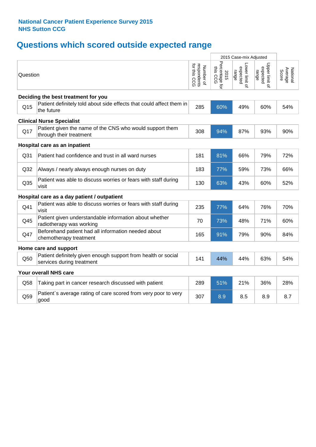# **Questions which scored outside expected range**

| Percentage for<br>this CCG<br>Upper limit of<br>expected<br>respondents<br>for this CCG<br>Lower limit of<br>Number of<br>expected<br>Average<br>Score<br>National<br>range<br>range<br>2015<br>Question<br>Deciding the best treatment for you<br>Patient definitely told about side effects that could affect them in<br>Q <sub>15</sub><br>285<br>60%<br>49%<br>60%<br>54%<br>the future<br><b>Clinical Nurse Specialist</b><br>Patient given the name of the CNS who would support them<br>Q17<br>94%<br>87%<br>90%<br>308<br>93%<br>through their treatment<br>Hospital care as an inpatient<br>Q <sub>31</sub><br>Patient had confidence and trust in all ward nurses<br>181<br>81%<br>66%<br>79%<br>72%<br>Q32<br>183<br>77%<br>59%<br>73%<br>66%<br>Always / nearly always enough nurses on duty<br>Patient was able to discuss worries or fears with staff during<br>Q <sub>35</sub><br>130<br>63%<br>43%<br>60%<br>52%<br>visit<br>Hospital care as a day patient / outpatient<br>Patient was able to discuss worries or fears with staff during<br>Q41<br>235<br>77%<br>64%<br>76%<br>70%<br>visit<br>Patient given understandable information about whether<br>Q45<br>70<br>73%<br>48%<br>71%<br>60%<br>radiotherapy was working<br>Beforehand patient had all information needed about<br>Q47<br>91%<br>79%<br>90%<br>84%<br>165<br>chemotherapy treatment<br>Home care and support<br>Patient definitely given enough support from health or social<br>44%<br>44%<br>63%<br>54%<br>Q50<br>141<br>services during treatment<br>Your overall NHS care<br>289<br>51%<br>21%<br>36%<br>28%<br>Q58<br>Taking part in cancer research discussed with patient<br>Patient's average rating of care scored from very poor to very<br>Q59<br>307<br>8.9<br>8.9<br>8.7<br>8.5<br>good |  |  | 2015 Case-mix Adjusted |  |
|------------------------------------------------------------------------------------------------------------------------------------------------------------------------------------------------------------------------------------------------------------------------------------------------------------------------------------------------------------------------------------------------------------------------------------------------------------------------------------------------------------------------------------------------------------------------------------------------------------------------------------------------------------------------------------------------------------------------------------------------------------------------------------------------------------------------------------------------------------------------------------------------------------------------------------------------------------------------------------------------------------------------------------------------------------------------------------------------------------------------------------------------------------------------------------------------------------------------------------------------------------------------------------------------------------------------------------------------------------------------------------------------------------------------------------------------------------------------------------------------------------------------------------------------------------------------------------------------------------------------------------------------------------------------------------------------------------------------------------------------------------------------------------------|--|--|------------------------|--|
|                                                                                                                                                                                                                                                                                                                                                                                                                                                                                                                                                                                                                                                                                                                                                                                                                                                                                                                                                                                                                                                                                                                                                                                                                                                                                                                                                                                                                                                                                                                                                                                                                                                                                                                                                                                          |  |  |                        |  |
|                                                                                                                                                                                                                                                                                                                                                                                                                                                                                                                                                                                                                                                                                                                                                                                                                                                                                                                                                                                                                                                                                                                                                                                                                                                                                                                                                                                                                                                                                                                                                                                                                                                                                                                                                                                          |  |  |                        |  |
|                                                                                                                                                                                                                                                                                                                                                                                                                                                                                                                                                                                                                                                                                                                                                                                                                                                                                                                                                                                                                                                                                                                                                                                                                                                                                                                                                                                                                                                                                                                                                                                                                                                                                                                                                                                          |  |  |                        |  |
|                                                                                                                                                                                                                                                                                                                                                                                                                                                                                                                                                                                                                                                                                                                                                                                                                                                                                                                                                                                                                                                                                                                                                                                                                                                                                                                                                                                                                                                                                                                                                                                                                                                                                                                                                                                          |  |  |                        |  |
|                                                                                                                                                                                                                                                                                                                                                                                                                                                                                                                                                                                                                                                                                                                                                                                                                                                                                                                                                                                                                                                                                                                                                                                                                                                                                                                                                                                                                                                                                                                                                                                                                                                                                                                                                                                          |  |  |                        |  |
|                                                                                                                                                                                                                                                                                                                                                                                                                                                                                                                                                                                                                                                                                                                                                                                                                                                                                                                                                                                                                                                                                                                                                                                                                                                                                                                                                                                                                                                                                                                                                                                                                                                                                                                                                                                          |  |  |                        |  |
|                                                                                                                                                                                                                                                                                                                                                                                                                                                                                                                                                                                                                                                                                                                                                                                                                                                                                                                                                                                                                                                                                                                                                                                                                                                                                                                                                                                                                                                                                                                                                                                                                                                                                                                                                                                          |  |  |                        |  |
|                                                                                                                                                                                                                                                                                                                                                                                                                                                                                                                                                                                                                                                                                                                                                                                                                                                                                                                                                                                                                                                                                                                                                                                                                                                                                                                                                                                                                                                                                                                                                                                                                                                                                                                                                                                          |  |  |                        |  |
|                                                                                                                                                                                                                                                                                                                                                                                                                                                                                                                                                                                                                                                                                                                                                                                                                                                                                                                                                                                                                                                                                                                                                                                                                                                                                                                                                                                                                                                                                                                                                                                                                                                                                                                                                                                          |  |  |                        |  |
|                                                                                                                                                                                                                                                                                                                                                                                                                                                                                                                                                                                                                                                                                                                                                                                                                                                                                                                                                                                                                                                                                                                                                                                                                                                                                                                                                                                                                                                                                                                                                                                                                                                                                                                                                                                          |  |  |                        |  |
|                                                                                                                                                                                                                                                                                                                                                                                                                                                                                                                                                                                                                                                                                                                                                                                                                                                                                                                                                                                                                                                                                                                                                                                                                                                                                                                                                                                                                                                                                                                                                                                                                                                                                                                                                                                          |  |  |                        |  |
|                                                                                                                                                                                                                                                                                                                                                                                                                                                                                                                                                                                                                                                                                                                                                                                                                                                                                                                                                                                                                                                                                                                                                                                                                                                                                                                                                                                                                                                                                                                                                                                                                                                                                                                                                                                          |  |  |                        |  |
|                                                                                                                                                                                                                                                                                                                                                                                                                                                                                                                                                                                                                                                                                                                                                                                                                                                                                                                                                                                                                                                                                                                                                                                                                                                                                                                                                                                                                                                                                                                                                                                                                                                                                                                                                                                          |  |  |                        |  |
|                                                                                                                                                                                                                                                                                                                                                                                                                                                                                                                                                                                                                                                                                                                                                                                                                                                                                                                                                                                                                                                                                                                                                                                                                                                                                                                                                                                                                                                                                                                                                                                                                                                                                                                                                                                          |  |  |                        |  |
|                                                                                                                                                                                                                                                                                                                                                                                                                                                                                                                                                                                                                                                                                                                                                                                                                                                                                                                                                                                                                                                                                                                                                                                                                                                                                                                                                                                                                                                                                                                                                                                                                                                                                                                                                                                          |  |  |                        |  |
|                                                                                                                                                                                                                                                                                                                                                                                                                                                                                                                                                                                                                                                                                                                                                                                                                                                                                                                                                                                                                                                                                                                                                                                                                                                                                                                                                                                                                                                                                                                                                                                                                                                                                                                                                                                          |  |  |                        |  |
|                                                                                                                                                                                                                                                                                                                                                                                                                                                                                                                                                                                                                                                                                                                                                                                                                                                                                                                                                                                                                                                                                                                                                                                                                                                                                                                                                                                                                                                                                                                                                                                                                                                                                                                                                                                          |  |  |                        |  |
|                                                                                                                                                                                                                                                                                                                                                                                                                                                                                                                                                                                                                                                                                                                                                                                                                                                                                                                                                                                                                                                                                                                                                                                                                                                                                                                                                                                                                                                                                                                                                                                                                                                                                                                                                                                          |  |  |                        |  |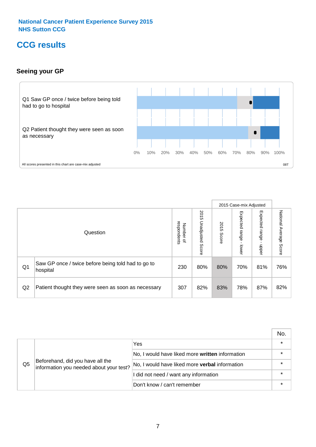# **CCG results**

## **Seeing your GP**



|    |                                                                |                                         |                             |               | 2015 Case-mix Adjusted     |                            |                           |
|----|----------------------------------------------------------------|-----------------------------------------|-----------------------------|---------------|----------------------------|----------------------------|---------------------------|
|    | Question                                                       | respondents<br>Number<br>$\overline{a}$ | 2015<br>Unadjusted<br>Score | 2015<br>Score | Expected<br>range<br>lower | Expected<br>range<br>dpper | National Average<br>Score |
| Q1 | Saw GP once / twice before being told had to go to<br>hospital | 230                                     | 80%                         | 80%           | 70%                        | 81%                        | 76%                       |
| Q2 | Patient thought they were seen as soon as necessary            | 307                                     | 82%                         | 83%           | 78%                        | 87%                        | 82%                       |

|                |                                                                             |                                                 | No. |
|----------------|-----------------------------------------------------------------------------|-------------------------------------------------|-----|
|                | Beforehand, did you have all the<br>information you needed about your test? | Yes                                             |     |
|                |                                                                             | No, I would have liked more written information |     |
| Q <sub>5</sub> |                                                                             | No, I would have liked more verbal information  |     |
|                |                                                                             | I did not need / want any information           |     |
|                |                                                                             | Don't know / can't remember                     |     |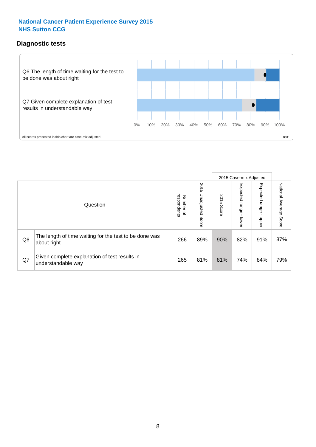## **Diagnostic tests**



|                |                                                                       |                                   |                             |               | 2015 Case-mix Adjusted     |                         |                           |
|----------------|-----------------------------------------------------------------------|-----------------------------------|-----------------------------|---------------|----------------------------|-------------------------|---------------------------|
|                | Question                                                              | respondents<br>Number<br>$\Omega$ | 2015<br>Unadjusted<br>Score | 2015<br>Score | Expected<br>range<br>lower | Expected range<br>nbber | National Average<br>Score |
| Q <sub>6</sub> | The length of time waiting for the test to be done was<br>about right | 266                               | 89%                         | 90%           | 82%                        | 91%                     | 87%                       |
| Q7             | Given complete explanation of test results in<br>understandable way   | 265                               | 81%                         | 81%           | 74%                        | 84%                     | 79%                       |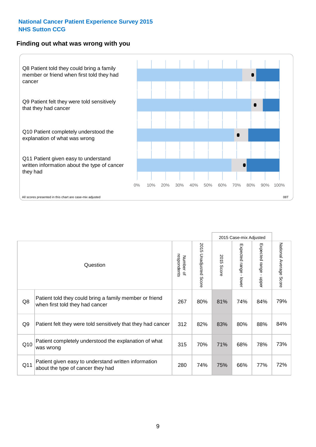#### **Finding out what was wrong with you**



|                 |                                                                                            |                          |                                 |               | 2015 Case-mix Adjusted                    |                        |                        |
|-----------------|--------------------------------------------------------------------------------------------|--------------------------|---------------------------------|---------------|-------------------------------------------|------------------------|------------------------|
|                 | Question                                                                                   | respondents<br>Number of | 2015<br><b>Unadjusted Score</b> | 2015<br>Score | Expected range<br>$\blacksquare$<br>lower | Expected range - upper | National Average Score |
| Q8              | Patient told they could bring a family member or friend<br>when first told they had cancer | 267                      | 80%                             | 81%           | 74%                                       | 84%                    | 79%                    |
| Q <sub>9</sub>  | Patient felt they were told sensitively that they had cancer                               | 312                      | 82%                             | 83%           | 80%                                       | 88%                    | 84%                    |
| Q10             | Patient completely understood the explanation of what<br>was wrong                         | 315                      | 70%                             | 71%           | 68%                                       | 78%                    | 73%                    |
| Q <sub>11</sub> | Patient given easy to understand written information<br>about the type of cancer they had  | 280                      | 74%                             | 75%           | 66%                                       | 77%                    | 72%                    |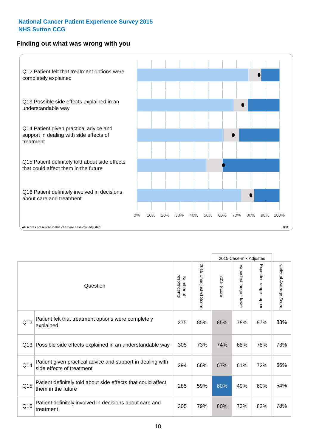### **Finding out what was wrong with you**



|          |                                                                                         |                          |                       |               | 2015 Case-mix Adjusted                  |                           |                        |
|----------|-----------------------------------------------------------------------------------------|--------------------------|-----------------------|---------------|-----------------------------------------|---------------------------|------------------------|
| Question |                                                                                         | respondents<br>Number of | 2015 Unadjusted Score | 2015<br>Score | Expected range<br>$\mathbf{r}$<br>lower | Expected range -<br>nbber | National Average Score |
| Q12      | Patient felt that treatment options were completely<br>explained                        | 275                      | 85%                   | 86%           | 78%                                     | 87%                       | 83%                    |
| Q13      | Possible side effects explained in an understandable way                                | 305                      | 73%                   | 74%           | 68%                                     | 78%                       | 73%                    |
| Q14      | Patient given practical advice and support in dealing with<br>side effects of treatment | 294                      | 66%                   | 67%           | 61%                                     | 72%                       | 66%                    |
| Q15      | Patient definitely told about side effects that could affect<br>them in the future      | 285                      | 59%                   | 60%           | 49%                                     | 60%                       | 54%                    |
| Q16      | Patient definitely involved in decisions about care and<br>treatment                    | 305                      | 79%                   | 80%           | 73%                                     | 82%                       | 78%                    |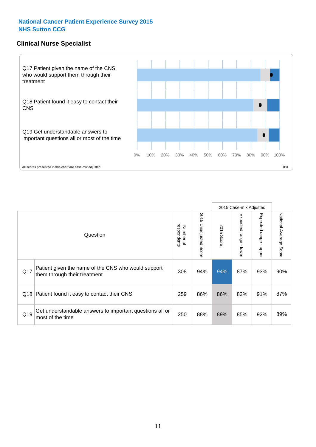## **Clinical Nurse Specialist**



|     |                                                                                     |                          |                       |               | 2015 Case-mix Adjusted  |                         |                        |
|-----|-------------------------------------------------------------------------------------|--------------------------|-----------------------|---------------|-------------------------|-------------------------|------------------------|
|     | Question                                                                            | respondents<br>Number of | 2015 Unadjusted Score | 2015<br>Score | Expected range<br>lower | Expected range<br>nbber | National Average Score |
| Q17 | Patient given the name of the CNS who would support<br>them through their treatment | 308                      | 94%                   | 94%           | 87%                     | 93%                     | 90%                    |
|     | Q18 Patient found it easy to contact their CNS                                      | 259                      | 86%                   | 86%           | 82%                     | 91%                     | 87%                    |
| Q19 | Get understandable answers to important questions all or<br>most of the time        | 250                      | 88%                   | 89%           | 85%                     | 92%                     | 89%                    |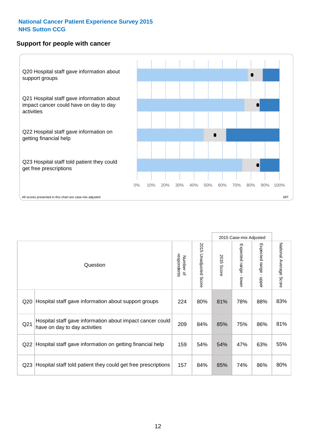#### **Support for people with cancer**



|                 |                                                                                            |                          |                                 |               | 2015 Case-mix Adjusted  |                                         |                        |
|-----------------|--------------------------------------------------------------------------------------------|--------------------------|---------------------------------|---------------|-------------------------|-----------------------------------------|------------------------|
|                 | Question                                                                                   | respondents<br>Number of | 2015<br><b>Unadjusted Score</b> | 2015<br>Score | Expected range<br>lower | Expected range<br>$\mathbf{I}$<br>nbber | National Average Score |
| Q <sub>20</sub> | Hospital staff gave information about support groups                                       | 224                      | 80%                             | 81%           | 78%                     | 88%                                     | 83%                    |
| Q <sub>21</sub> | Hospital staff gave information about impact cancer could<br>have on day to day activities | 209                      | 84%                             | 85%           | 75%                     | 86%                                     | 81%                    |
| Q <sub>22</sub> | Hospital staff gave information on getting financial help                                  | 159                      | 54%                             | 54%           | 47%                     | 63%                                     | 55%                    |
| Q <sub>23</sub> | Hospital staff told patient they could get free prescriptions                              | 157                      | 84%                             | 85%           | 74%                     | 86%                                     | 80%                    |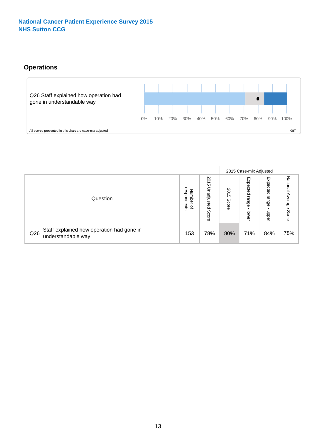# **Operations**



|     |                                                                 |                                         |                             |               |                            | 2015 Case-mix Adjusted    |                           |
|-----|-----------------------------------------------------------------|-----------------------------------------|-----------------------------|---------------|----------------------------|---------------------------|---------------------------|
|     | Question                                                        | respondents<br>Number<br>$\overline{a}$ | 2015<br>Unadjusted<br>Score | 2015<br>Score | Expected<br>range<br>lower | Expected<br>range<br>ddoe | National Average<br>Score |
| Q26 | Staff explained how operation had gone in<br>understandable way | 153                                     | 78%                         | 80%           | 71%                        | 84%                       | 78%                       |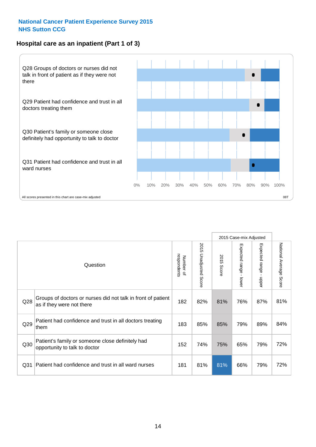# **Hospital care as an inpatient (Part 1 of 3)**



All scores presented in this chart are case-mix adjusted  $08T$ 

|                 |                                                                                           |                          |                                 |                      | 2015 Case-mix Adjusted                  |                                         |                        |
|-----------------|-------------------------------------------------------------------------------------------|--------------------------|---------------------------------|----------------------|-----------------------------------------|-----------------------------------------|------------------------|
|                 | Question                                                                                  | respondents<br>Number of | 2015<br><b>Unadjusted Score</b> | 2015<br><b>Score</b> | Expected range<br>$\mathbf{r}$<br>lower | Expected range<br>$\mathbf{r}$<br>nbber | National Average Score |
| Q28             | Groups of doctors or nurses did not talk in front of patient<br>as if they were not there | 182                      | 82%                             | 81%                  | 76%                                     | 87%                                     | 81%                    |
| Q29             | Patient had confidence and trust in all doctors treating<br>them                          | 183                      | 85%                             | 85%                  | 79%                                     | 89%                                     | 84%                    |
| Q30             | Patient's family or someone close definitely had<br>opportunity to talk to doctor         | 152                      | 74%                             | 75%                  | 65%                                     | 79%                                     | 72%                    |
| Q <sub>31</sub> | Patient had confidence and trust in all ward nurses                                       | 181                      | 81%                             | 81%                  | 66%                                     | 79%                                     | 72%                    |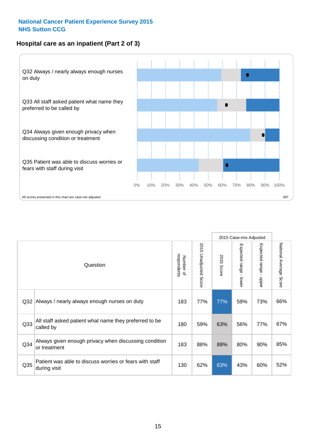### **Hospital care as an inpatient (Part 2 of 3)**



|                 |                                                                         |                          |                       |               | 2015 Case-mix Adjusted     |                                           |                        |
|-----------------|-------------------------------------------------------------------------|--------------------------|-----------------------|---------------|----------------------------|-------------------------------------------|------------------------|
|                 | Question                                                                | respondents<br>Number of | 2015 Unadjusted Score | 2015<br>Score | Expected range -<br>-lower | Expected range<br>$\blacksquare$<br>nbber | National Average Score |
| Q32             | Always / nearly always enough nurses on duty                            | 183                      | 77%                   | 77%           | 59%                        | 73%                                       | 66%                    |
| Q <sub>33</sub> | All staff asked patient what name they preferred to be<br>called by     | 180                      | 59%                   | 63%           | 56%                        | 77%                                       | 67%                    |
| Q <sub>34</sub> | Always given enough privacy when discussing condition<br>or treatment   | 183                      | 88%                   | 88%           | 80%                        | 90%                                       | 85%                    |
| Q <sub>35</sub> | Patient was able to discuss worries or fears with staff<br>during visit | 130                      | 62%                   | 63%           | 43%                        | 60%                                       | 52%                    |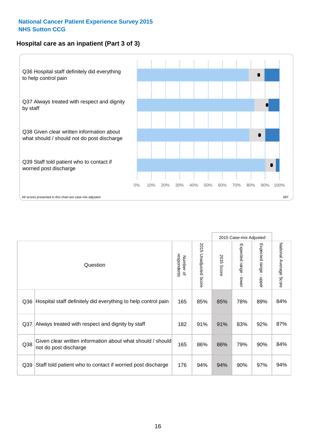### **Hospital care as an inpatient (Part 3 of 3)**



|                 |                                                                                     |                          |                                 |                      | 2015 Case-mix Adjusted                    |                           |                        |
|-----------------|-------------------------------------------------------------------------------------|--------------------------|---------------------------------|----------------------|-------------------------------------------|---------------------------|------------------------|
|                 | Question                                                                            | respondents<br>Number of | 2015<br><b>Unadjusted Score</b> | 2015<br><b>Score</b> | Expected range<br>$\blacksquare$<br>lower | Expected range -<br>nbber | National Average Score |
| Q36             | Hospital staff definitely did everything to help control pain                       | 165                      | 85%                             | 85%                  | 78%                                       | 89%                       | 84%                    |
| Q <sub>37</sub> | Always treated with respect and dignity by staff                                    | 182                      | 91%                             | 91%                  | 83%                                       | 92%                       | 87%                    |
| Q38             | Given clear written information about what should / should<br>not do post discharge | 165                      | 86%                             | 86%                  | 79%                                       | 90%                       | 84%                    |
| Q <sub>39</sub> | Staff told patient who to contact if worried post discharge                         | 176                      | 94%                             | 94%                  | 90%                                       | 97%                       | 94%                    |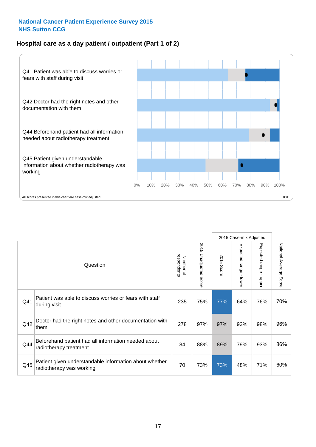## **Hospital care as a day patient / outpatient (Part 1 of 2)**



|     |                                                                                    |                          |                                 | 2015 Case-mix Adjusted |                                         |                                         |                        |
|-----|------------------------------------------------------------------------------------|--------------------------|---------------------------------|------------------------|-----------------------------------------|-----------------------------------------|------------------------|
|     | Question                                                                           | respondents<br>Number of | 2015<br><b>Unadjusted Score</b> | 2015<br><b>Score</b>   | Expected range<br>$\mathbf{r}$<br>lower | Expected range<br>$\mathbf{I}$<br>nbber | National Average Score |
| Q41 | Patient was able to discuss worries or fears with staff<br>during visit            | 235                      | 75%                             | 77%                    | 64%                                     | 76%                                     | 70%                    |
| Q42 | Doctor had the right notes and other documentation with<br>them                    | 278                      | 97%                             | 97%                    | 93%                                     | 98%                                     | 96%                    |
| Q44 | Beforehand patient had all information needed about<br>radiotherapy treatment      | 84                       | 88%                             | 89%                    | 79%                                     | 93%                                     | 86%                    |
| Q45 | Patient given understandable information about whether<br>radiotherapy was working | 70                       | 73%                             | 73%                    | 48%                                     | 71%                                     | 60%                    |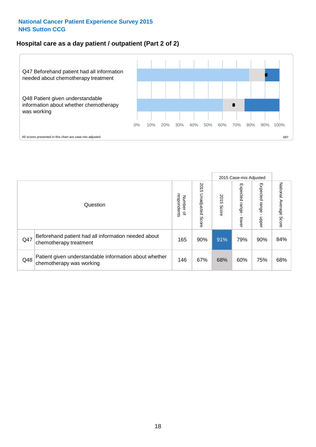### **Hospital care as a day patient / outpatient (Part 2 of 2)**



|     |                                                                                    |                                       |                             | 2015 Case-mix Adjusted |                         |                         |                           |
|-----|------------------------------------------------------------------------------------|---------------------------------------|-----------------------------|------------------------|-------------------------|-------------------------|---------------------------|
|     | Question                                                                           | respondents<br>Number<br>$\mathbf{Q}$ | 2015<br>Unadjusted<br>Score | 2015<br>Score          | Expected range<br>lower | Expected range<br>doper | National Average<br>Score |
| Q47 | Beforehand patient had all information needed about<br>chemotherapy treatment      | 165                                   | 90%                         | 91%                    | 79%                     | 90%                     | 84%                       |
| Q48 | Patient given understandable information about whether<br>chemotherapy was working | 146                                   | 67%                         | 68%                    | 60%                     | 75%                     | 68%                       |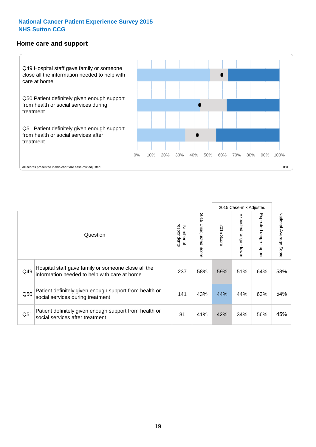#### **Home care and support**



|     |                                                                                                     |                          |                          | 2015 Case-mix Adjusted |                         |                         |                        |
|-----|-----------------------------------------------------------------------------------------------------|--------------------------|--------------------------|------------------------|-------------------------|-------------------------|------------------------|
|     | Question                                                                                            | Number of<br>respondents | 2015<br>Unadjusted Score | 2015<br>Score          | Expected range<br>lower | Expected range<br>nbber | National Average Score |
| Q49 | Hospital staff gave family or someone close all the<br>information needed to help with care at home | 237                      | 58%                      | 59%                    | 51%                     | 64%                     | 58%                    |
| Q50 | Patient definitely given enough support from health or<br>social services during treatment          | 141                      | 43%                      | 44%                    | 44%                     | 63%                     | 54%                    |
| Q51 | Patient definitely given enough support from health or<br>social services after treatment           | 81                       | 41%                      | 42%                    | 34%                     | 56%                     | 45%                    |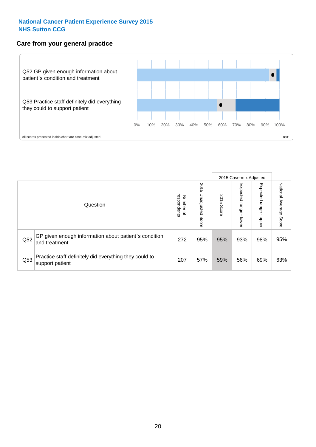#### **Care from your general practice**



|     |                                                                           |                                              |                             | 2015 Case-mix Adjusted |                                    |                              |                           |
|-----|---------------------------------------------------------------------------|----------------------------------------------|-----------------------------|------------------------|------------------------------------|------------------------------|---------------------------|
|     | Question                                                                  | respondents<br>Number<br>$\overline{\sigma}$ | 2015<br>Unadjusted<br>Score | 2015<br>Score          | Expected<br><b>Irange</b><br>lower | Expected<br>  range<br>doper | National Average<br>Score |
| Q52 | GP given enough information about patient's condition<br>and treatment    | 272                                          | 95%                         | 95%                    | 93%                                | 98%                          | 95%                       |
| Q53 | Practice staff definitely did everything they could to<br>support patient | 207                                          | 57%                         | 59%                    | 56%                                | 69%                          | 63%                       |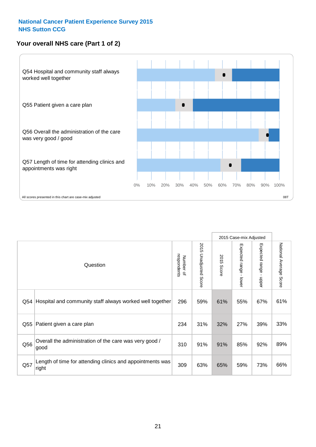# **Your overall NHS care (Part 1 of 2)**



|     |                                                                    |                          |                                 | 2015 Case-mix Adjusted |                                           |                           |                        |
|-----|--------------------------------------------------------------------|--------------------------|---------------------------------|------------------------|-------------------------------------------|---------------------------|------------------------|
|     | Question                                                           | respondents<br>Number of | 2015<br><b>Unadjusted Score</b> | 2015<br>Score          | Expected range<br>$\blacksquare$<br>lower | Expected range<br>- nbber | National Average Score |
| Q54 | Hospital and community staff always worked well together           | 296                      | 59%                             | 61%                    | 55%                                       | 67%                       | 61%                    |
| Q55 | Patient given a care plan                                          | 234                      | 31%                             | 32%                    | 27%                                       | 39%                       | 33%                    |
| Q56 | Overall the administration of the care was very good /<br>good     | 310                      | 91%                             | 91%                    | 85%                                       | 92%                       | 89%                    |
| Q57 | Length of time for attending clinics and appointments was<br>right | 309                      | 63%                             | 65%                    | 59%                                       | 73%                       | 66%                    |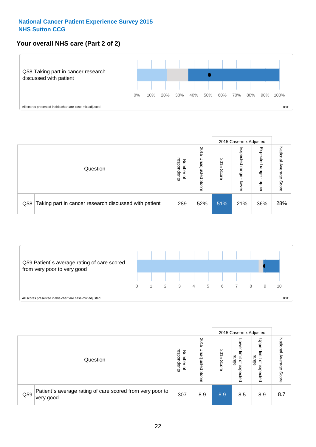# **Your overall NHS care (Part 2 of 2)**



|     |                                                       |                                         |                             | 2015 Case-mix Adjusted |                            |                            |                        |
|-----|-------------------------------------------------------|-----------------------------------------|-----------------------------|------------------------|----------------------------|----------------------------|------------------------|
|     | Question                                              | respondents<br>Number<br>$\overline{a}$ | 2015<br>Jnadjusted<br>Score | 2015<br>Score          | Expected<br>range<br>lower | Expected<br>range<br>doper | National Average Score |
| Q58 | Taking part in cancer research discussed with patient | 289                                     | 52%                         | 51%                    | 21%                        | 36%                        | 28%                    |



|     |                                                                        |                                              |                             |               |                                           | 2015 Case-mix Adjusted                                          |                              |
|-----|------------------------------------------------------------------------|----------------------------------------------|-----------------------------|---------------|-------------------------------------------|-----------------------------------------------------------------|------------------------------|
|     | Question                                                               | respondents<br>Number<br>$\overline{\sigma}$ | 2015<br>Jnadjusted<br>Score | 2015<br>Score | OWer<br>limit<br>range<br>਼੍ਰ<br>expected | Upper<br>limit<br>range<br>$\overline{\mathcal{C}}$<br>expected | National<br>Average<br>Score |
| Q59 | Patient's average rating of care scored from very poor to<br>very good | 307                                          | 8.9                         | 8.9           | 8.5                                       | 8.9                                                             | 8.7                          |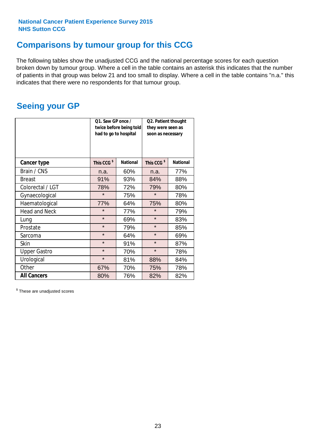# **Comparisons by tumour group for this CCG**

The following tables show the unadjusted CCG and the national percentage scores for each question broken down by tumour group. Where a cell in the table contains an asterisk this indicates that the number of patients in that group was below 21 and too small to display. Where a cell in the table contains "n.a." this indicates that there were no respondents for that tumour group.

# **Seeing your GP**

|                      | Q1. Saw GP once /<br>had to go to hospital | twice before being told | Q2. Patient thought<br>they were seen as<br>soon as necessary |                 |  |
|----------------------|--------------------------------------------|-------------------------|---------------------------------------------------------------|-----------------|--|
| <b>Cancer type</b>   | This CCG <sup>\$</sup>                     | <b>National</b>         | This CCG <sup>\$</sup>                                        | <b>National</b> |  |
| Brain / CNS          | n.a.                                       | 60%                     | n.a.                                                          | 77%             |  |
| <b>Breast</b>        | 91%                                        | 93%                     | 84%                                                           | 88%             |  |
| Colorectal / LGT     | 78%                                        | 72%                     | 79%                                                           | 80%             |  |
| Gynaecological       | $\star$                                    | 75%                     | $\star$                                                       | 78%             |  |
| Haematological       | 77%                                        | 64%                     | 75%                                                           | 80%             |  |
| <b>Head and Neck</b> | $\star$                                    | 77%                     | $\star$                                                       | 79%             |  |
| Lung                 | $\star$                                    | 69%                     | $\star$                                                       | 83%             |  |
| Prostate             | $\star$                                    | 79%                     | $\star$                                                       | 85%             |  |
| Sarcoma              | $\star$                                    | 64%                     | $\star$                                                       | 69%             |  |
| Skin                 | $\star$                                    | 91%                     | $\star$                                                       | 87%             |  |
| <b>Upper Gastro</b>  | $\star$                                    | 70%                     | $\star$                                                       | 78%             |  |
| Urological           | $\star$                                    | 81%                     | 88%                                                           | 84%             |  |
| Other                | 67%                                        | 70%                     | 75%                                                           | 78%             |  |
| <b>All Cancers</b>   | 80%                                        | 76%                     | 82%                                                           | 82%             |  |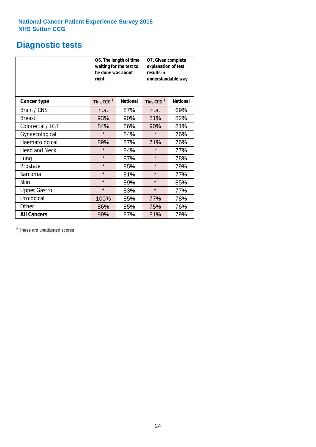# **Diagnostic tests**

|                      | be done was about<br>right | Q6. The length of time<br>waiting for the test to | Q7. Given complete<br>explanation of test<br>results in<br>understandable way |                 |  |
|----------------------|----------------------------|---------------------------------------------------|-------------------------------------------------------------------------------|-----------------|--|
| <b>Cancer type</b>   | This CCG <sup>\$</sup>     | <b>National</b>                                   | This CCG <sup>\$</sup>                                                        | <b>National</b> |  |
| Brain / CNS          | n.a.                       | 87%                                               | n.a.                                                                          | 69%             |  |
| <b>Breast</b>        | 93%                        | 90%                                               | 81%                                                                           | 82%             |  |
| Colorectal / LGT     | 84%                        | 86%                                               | 90%                                                                           | 81%             |  |
| Gynaecological       | $\star$                    | 84%                                               |                                                                               | 76%             |  |
| Haematological       | 89%                        | 87%                                               |                                                                               | 76%             |  |
| <b>Head and Neck</b> | $\star$                    | 84%                                               | $\star$                                                                       | 77%             |  |
| Lung                 | $\star$                    | 87%                                               | $\star$                                                                       | 78%             |  |
| Prostate             | $\star$                    | 85%                                               | $\star$                                                                       | 79%             |  |
| Sarcoma              | $\star$                    | 81%                                               | $\star$                                                                       | 77%             |  |
| <b>Skin</b>          | $\star$                    | 89%                                               | $\star$                                                                       | 85%             |  |
| <b>Upper Gastro</b>  | $\star$                    | 83%                                               | $\star$                                                                       | 77%             |  |
| Urological           | 100%                       | 85%                                               | 77%                                                                           | 78%             |  |
| Other                | 86%                        | 85%                                               | 75%                                                                           | 76%             |  |
| <b>All Cancers</b>   | 89%                        | 87%                                               | 81%                                                                           | 79%             |  |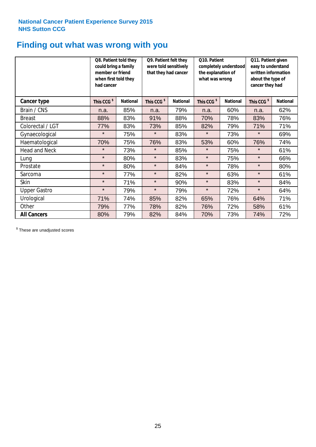# **Finding out what was wrong with you**

|                      | Q8. Patient told they<br>could bring a family<br>member or friend<br>when first told they<br>had cancer |                 | Q9. Patient felt they<br>were told sensitively<br>that they had cancer |                 | Q10. Patient<br>completely understood<br>the explanation of<br>what was wrong |                 | Q11. Patient given<br>easy to understand<br>written information<br>about the type of<br>cancer they had |                 |
|----------------------|---------------------------------------------------------------------------------------------------------|-----------------|------------------------------------------------------------------------|-----------------|-------------------------------------------------------------------------------|-----------------|---------------------------------------------------------------------------------------------------------|-----------------|
| Cancer type          | This CCG <sup>\$</sup>                                                                                  | <b>National</b> | This CCG <sup>\$</sup>                                                 | <b>National</b> | This CCG <sup>\$</sup>                                                        | <b>National</b> | This CCG <sup>\$</sup>                                                                                  | <b>National</b> |
| Brain / CNS          | n.a.                                                                                                    | 85%             | n.a.                                                                   | 79%             | n.a.                                                                          | 60%             | n.a.                                                                                                    | 62%             |
| <b>Breast</b>        | 88%                                                                                                     | 83%             | 91%                                                                    | 88%             | 70%                                                                           | 78%             | 83%                                                                                                     | 76%             |
| Colorectal / LGT     | 77%                                                                                                     | 83%             | 73%                                                                    | 85%             | 82%                                                                           | 79%             | 71%                                                                                                     | 71%             |
| Gynaecological       | $\star$                                                                                                 | 75%             | $\star$                                                                | 83%             | $\star$                                                                       | 73%             | $\star$                                                                                                 | 69%             |
| Haematological       | 70%                                                                                                     | 75%             | 76%                                                                    | 83%             | 53%                                                                           | 60%             | 76%                                                                                                     | 74%             |
| <b>Head and Neck</b> | $\star$                                                                                                 | 73%             | $\star$                                                                | 85%             | $\star$                                                                       | 75%             | $\star$                                                                                                 | 61%             |
| Lung                 | $\star$                                                                                                 | 80%             | $\star$                                                                | 83%             | $\star$                                                                       | 75%             | $\star$                                                                                                 | 66%             |
| Prostate             | $\star$                                                                                                 | 80%             | $\star$                                                                | 84%             | $\star$                                                                       | 78%             | $\star$                                                                                                 | 80%             |
| Sarcoma              | $\star$                                                                                                 | 77%             | $\star$                                                                | 82%             | $\star$                                                                       | 63%             | $\star$                                                                                                 | 61%             |
| Skin                 | $\star$                                                                                                 | 71%             | $\star$                                                                | 90%             | $\star$                                                                       | 83%             | $\star$                                                                                                 | 84%             |
| <b>Upper Gastro</b>  | $\star$                                                                                                 | 79%             | $\star$                                                                | 79%             | $\star$                                                                       | 72%             | $\star$                                                                                                 | 64%             |
| Urological           | 71%                                                                                                     | 74%             | 85%                                                                    | 82%             | 65%                                                                           | 76%             | 64%                                                                                                     | 71%             |
| Other                | 79%                                                                                                     | 77%             | 78%                                                                    | 82%             | 76%                                                                           | 72%             | 58%                                                                                                     | 61%             |
| <b>All Cancers</b>   | 80%                                                                                                     | 79%             | 82%                                                                    | 84%             | 70%                                                                           | 73%             | 74%                                                                                                     | 72%             |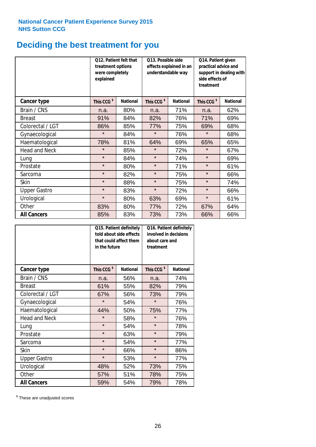# **Deciding the best treatment for you**

|                      | 012. Patient felt that<br>treatment options<br>were completely<br>explained |                 | O13. Possible side<br>effects explained in an<br>understandable way<br><b>National</b> |     | Q14. Patient given<br>practical advice and<br>support in dealing with<br>side effects of<br>treatment |                 |  |
|----------------------|-----------------------------------------------------------------------------|-----------------|----------------------------------------------------------------------------------------|-----|-------------------------------------------------------------------------------------------------------|-----------------|--|
| <b>Cancer type</b>   | This CCG <sup>\$</sup>                                                      | <b>National</b> | This CCG <sup>\$</sup>                                                                 |     | This CCG <sup>\$</sup>                                                                                | <b>National</b> |  |
| Brain / CNS          | n.a.                                                                        | 80%             | n.a.                                                                                   | 71% | n.a.                                                                                                  | 62%             |  |
| <b>Breast</b>        | 91%                                                                         | 84%             | 82%                                                                                    | 76% | 71%                                                                                                   | 69%             |  |
| Colorectal / LGT     | 86%                                                                         | 85%             | 77%                                                                                    | 75% | 69%                                                                                                   | 68%             |  |
| Gynaecological       | $\star$                                                                     | 84%             | $\star$                                                                                | 76% | $\star$                                                                                               | 68%             |  |
| Haematological       | 78%                                                                         | 81%             | 64%                                                                                    | 69% | 65%                                                                                                   | 65%             |  |
| <b>Head and Neck</b> | $\star$                                                                     | 85%             | $\star$                                                                                | 72% | $\star$                                                                                               | 67%             |  |
| Lung                 | $\star$                                                                     | 84%             | $\star$                                                                                | 74% | $\star$                                                                                               | 69%             |  |
| Prostate             | $\star$                                                                     | 80%             | $\star$                                                                                | 71% | $\star$                                                                                               | 61%             |  |
| Sarcoma              | $\star$                                                                     | 82%             | $\star$                                                                                | 75% | $\star$                                                                                               | 66%             |  |
| Skin                 | $\star$                                                                     | 88%             | $\star$                                                                                | 75% | $\star$                                                                                               | 74%             |  |
| <b>Upper Gastro</b>  | $\star$                                                                     | 83%             | $\star$                                                                                | 72% | $\star$                                                                                               | 66%             |  |
| Urological           | $\star$                                                                     | 80%             | 63%                                                                                    | 69% | $\star$                                                                                               | 61%             |  |
| Other                | 83%                                                                         | 80%             | 77%                                                                                    | 72% | 67%                                                                                                   | 64%             |  |
| <b>All Cancers</b>   | 85%                                                                         | 83%             | 73%                                                                                    | 73% | 66%                                                                                                   | 66%             |  |

|                      | in the future          | Q15. Patient definitely<br>told about side effects<br>that could affect them | Q16. Patient definitely<br>involved in decisions<br>about care and<br>treatment |                 |  |
|----------------------|------------------------|------------------------------------------------------------------------------|---------------------------------------------------------------------------------|-----------------|--|
| <b>Cancer type</b>   | This CCG <sup>\$</sup> | <b>National</b>                                                              | This CCG <sup>\$</sup>                                                          | <b>National</b> |  |
| Brain / CNS          | n.a.                   | 56%                                                                          | n.a.                                                                            | 74%             |  |
| <b>Breast</b>        | 61%                    | 55%                                                                          | 82%                                                                             | 79%             |  |
| Colorectal / LGT     | 67%                    | 56%                                                                          | 73%                                                                             | 79%             |  |
| Gynaecological       | $\star$<br>54%         |                                                                              | $\star$                                                                         | 76%             |  |
| Haematological       | 44%<br>50%             |                                                                              | 75%                                                                             | 77%             |  |
| <b>Head and Neck</b> | $\star$                | 58%                                                                          | $\star$                                                                         | 76%             |  |
| Lung                 | $\star$                | 54%                                                                          | $\star$                                                                         | 78%             |  |
| Prostate             | $\star$                | 63%                                                                          | $\star$                                                                         | 79%             |  |
| Sarcoma              | $\star$                | 54%                                                                          | $\star$                                                                         | 77%             |  |
| Skin                 | $\star$                | 66%                                                                          | $\star$                                                                         | 86%             |  |
| <b>Upper Gastro</b>  | $\star$                | 53%                                                                          | $\star$                                                                         | 77%             |  |
| Urological           | 48%                    | 52%                                                                          | 73%                                                                             | 75%             |  |
| Other                | 57%                    | 51%                                                                          | 78%                                                                             | 75%             |  |
| <b>All Cancers</b>   | 59%                    | 54%                                                                          | 79%                                                                             | 78%             |  |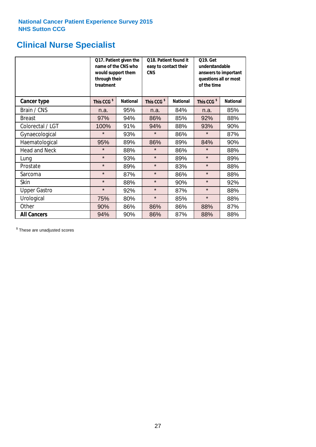# **Clinical Nurse Specialist**

|                      | would support them<br>through their<br>treatment | Q17. Patient given the<br>name of the CNS who | Q18. Patient found it<br>easy to contact their<br><b>CNS</b> |                 | <b>Q19. Get</b><br>understandable<br>answers to important<br>questions all or most<br>of the time |                 |
|----------------------|--------------------------------------------------|-----------------------------------------------|--------------------------------------------------------------|-----------------|---------------------------------------------------------------------------------------------------|-----------------|
| <b>Cancer type</b>   | This CCG <sup>\$</sup>                           | <b>National</b>                               | This CCG <sup>\$</sup>                                       | <b>National</b> | This CCG <sup>\$</sup>                                                                            | <b>National</b> |
| Brain / CNS          | n.a.                                             | 95%                                           | n.a.                                                         | 84%             | n.a.                                                                                              | 85%             |
| <b>Breast</b>        | 97%                                              | 94%                                           | 86%                                                          | 85%             | 92%                                                                                               | 88%             |
| Colorectal / LGT     | 100%                                             | 91%                                           | 94%                                                          | 88%             | 93%                                                                                               | 90%             |
| Gynaecological       | $\star$                                          | 93%                                           | $\star$                                                      | 86%             | $\star$                                                                                           | 87%             |
| Haematological       | 95%                                              | 89%                                           | 86%<br>89%                                                   |                 | 84%                                                                                               | 90%             |
| <b>Head and Neck</b> | $\star$                                          | 88%                                           | $\star$                                                      | 86%             | $\star$                                                                                           | 88%             |
| Lung                 | $\star$                                          | 93%                                           | $\star$                                                      | 89%             | $\star$                                                                                           | 89%             |
| Prostate             | $\star$                                          | 89%                                           | $\star$                                                      | 83%             | $\star$                                                                                           | 88%             |
| Sarcoma              | $\star$                                          | 87%                                           | $\star$                                                      | 86%             | $\star$                                                                                           | 88%             |
| Skin                 | $\star$                                          | 88%                                           | $\star$                                                      | 90%             | $\star$                                                                                           | 92%             |
| <b>Upper Gastro</b>  | $\star$                                          | 92%                                           | $\star$                                                      | 87%             | $\star$                                                                                           | 88%             |
| Urological           | 75%                                              | 80%                                           | $\star$                                                      | 85%             | $\star$                                                                                           | 88%             |
| Other                | 90%                                              | 86%                                           | 86%                                                          | 86%             | 88%                                                                                               | 87%             |
| <b>All Cancers</b>   | 94%                                              | 90%                                           | 86%                                                          | 87%             | 88%                                                                                               | 88%             |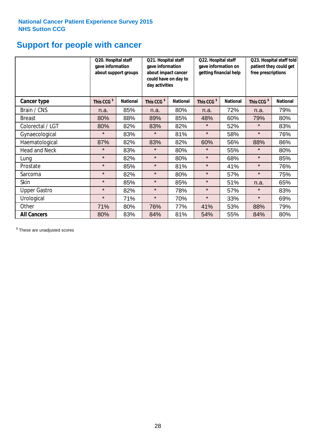# **Support for people with cancer**

|                      |                        | Q20. Hospital staff<br>gave information<br>about support groups<br>day activities |                        | Q21. Hospital staff<br>gave information<br>about impact cancer<br>could have on day to | Q22. Hospital staff<br>gave information on<br>getting financial help |                 | Q23. Hospital staff told<br>patient they could get<br>free prescriptions |                 |
|----------------------|------------------------|-----------------------------------------------------------------------------------|------------------------|----------------------------------------------------------------------------------------|----------------------------------------------------------------------|-----------------|--------------------------------------------------------------------------|-----------------|
| <b>Cancer type</b>   | This CCG <sup>\$</sup> | <b>National</b>                                                                   | This CCG <sup>\$</sup> | <b>National</b>                                                                        | This CCG <sup>\$</sup>                                               | <b>National</b> | This CCG <sup>\$</sup>                                                   | <b>National</b> |
| Brain / CNS          | n.a.                   | 85%                                                                               | n.a.                   | 80%                                                                                    | n.a.                                                                 | 72%             | n.a.                                                                     | 79%             |
| <b>Breast</b>        | 80%                    | 88%                                                                               | 89%                    | 85%                                                                                    | 48%                                                                  | 60%             | 79%                                                                      | 80%             |
| Colorectal / LGT     | 80%                    | 82%                                                                               | 83%                    | 82%                                                                                    | $\star$                                                              | 52%             | $\star$                                                                  | 83%             |
| Gynaecological       | $\star$                | 83%                                                                               | $\star$                | 81%                                                                                    | $\star$                                                              | 58%             | $\star$                                                                  | 76%             |
| Haematological       | 87%                    | 82%                                                                               | 83%                    | 82%                                                                                    | 60%                                                                  | 56%             | 88%                                                                      | 86%             |
| <b>Head and Neck</b> | $\star$                | 83%                                                                               | $\star$                | 80%                                                                                    | $\star$                                                              | 55%             | $\star$                                                                  | 80%             |
| Lung                 | $\star$                | 82%                                                                               | $\star$                | 80%                                                                                    | $\star$                                                              | 68%             | $\star$                                                                  | 85%             |
| Prostate             | $\star$                | 85%                                                                               | $\star$                | 81%                                                                                    | $\star$                                                              | 41%             | $\star$                                                                  | 76%             |
| Sarcoma              | $\star$                | 82%                                                                               | $\star$                | 80%                                                                                    | $\star$                                                              | 57%             | $\star$                                                                  | 75%             |
| Skin                 | $\star$                | 85%                                                                               | $\star$                | 85%                                                                                    | $\star$                                                              | 51%             | n.a.                                                                     | 65%             |
| <b>Upper Gastro</b>  | $\star$                | 82%                                                                               | $\star$                | 78%                                                                                    | $\star$                                                              | 57%             | $\star$                                                                  | 83%             |
| Urological           | $\star$                | 71%                                                                               | $\star$                | 70%                                                                                    | $\star$                                                              | 33%             | $\star$                                                                  | 69%             |
| Other                | 71%                    | 80%                                                                               | 76%                    | 77%                                                                                    | 41%                                                                  | 53%             | 88%                                                                      | 79%             |
| <b>All Cancers</b>   | 80%                    | 83%                                                                               | 84%                    | 81%                                                                                    | 54%                                                                  | 55%             | 84%                                                                      | 80%             |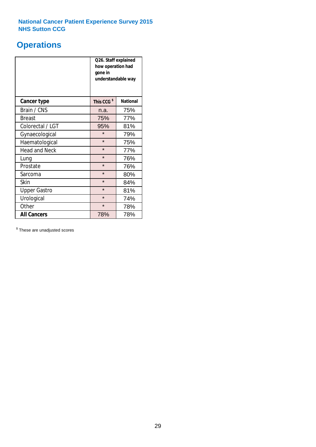# **Operations**

|                      | Q26. Staff explained<br>how operation had<br>gone in<br>understandable way |                 |  |  |  |
|----------------------|----------------------------------------------------------------------------|-----------------|--|--|--|
| <b>Cancer type</b>   | This CCG <sup>\$</sup>                                                     | <b>National</b> |  |  |  |
| Brain / CNS          | n.a.                                                                       | 75%             |  |  |  |
| <b>Breast</b>        | 75%                                                                        | 77%             |  |  |  |
| Colorectal / LGT     | 95%                                                                        | 81%             |  |  |  |
| Gynaecological       | $\star$<br>79%                                                             |                 |  |  |  |
| Haematological       | $\star$<br>75%                                                             |                 |  |  |  |
| <b>Head and Neck</b> | $\star$                                                                    | 77%             |  |  |  |
| Lung                 | $\star$                                                                    | 76%             |  |  |  |
| Prostate             | $\star$                                                                    | 76%             |  |  |  |
| Sarcoma              | $\star$                                                                    | 80%             |  |  |  |
| Skin                 | $\star$                                                                    | 84%             |  |  |  |
| <b>Upper Gastro</b>  | $\star$                                                                    | 81%             |  |  |  |
| Urological           | $\star$                                                                    | 74%             |  |  |  |
| Other                | $\star$<br>78%                                                             |                 |  |  |  |
| <b>All Cancers</b>   | 78%                                                                        | 78%             |  |  |  |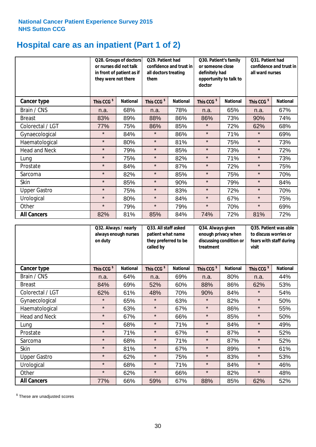# **Hospital care as an inpatient (Part 1 of 2)**

|                      | or nurses did not talk<br>they were not there | Q28. Groups of doctors<br>in front of patient as if | Q29. Patient had<br>confidence and trust in<br>all doctors treating<br>them |                 | Q30. Patient's family<br>or someone close<br>definitely had<br>opportunity to talk to<br>doctor |                 | Q31. Patient had<br>confidence and trust in<br>all ward nurses |                 |
|----------------------|-----------------------------------------------|-----------------------------------------------------|-----------------------------------------------------------------------------|-----------------|-------------------------------------------------------------------------------------------------|-----------------|----------------------------------------------------------------|-----------------|
| <b>Cancer type</b>   | This CCG <sup>\$</sup>                        | <b>National</b>                                     | This CCG <sup>\$</sup>                                                      | <b>National</b> | This CCG <sup>\$</sup>                                                                          | <b>National</b> | This CCG <sup>\$</sup>                                         | <b>National</b> |
| Brain / CNS          | n.a.                                          | 68%                                                 | n.a.                                                                        | 78%             | n.a.                                                                                            | 65%             | n.a.                                                           | 67%             |
| <b>Breast</b>        | 83%                                           | 89%                                                 | 88%                                                                         | 86%             | 86%                                                                                             | 73%             | 90%                                                            | 74%             |
| Colorectal / LGT     | 77%                                           | 75%                                                 | 86%                                                                         | 85%             | $\star$                                                                                         | 72%             | 62%                                                            | 68%             |
| Gynaecological       | $\star$                                       | 84%                                                 | $\star$                                                                     | 86%             | $\star$                                                                                         | 71%             | $\star$                                                        | 69%             |
| Haematological       | $\star$                                       | 80%                                                 | $\star$                                                                     | 81%             | $\star$                                                                                         | 75%             | $\star$                                                        | 73%             |
| <b>Head and Neck</b> | $\star$                                       | 79%                                                 | $\star$                                                                     | 85%             | $\star$                                                                                         | 73%             | $\star$                                                        | 72%             |
| Lung                 | $\star$                                       | 75%                                                 | $\star$                                                                     | 82%             | $\star$                                                                                         | 71%             | $\star$                                                        | 73%             |
| Prostate             | $\star$                                       | 84%                                                 | $\star$                                                                     | 87%             | $\star$                                                                                         | 72%             | $\star$                                                        | 75%             |
| Sarcoma              | $\star$                                       | 82%                                                 | $\star$                                                                     | 85%             | $\star$                                                                                         | 75%             | $\star$                                                        | 70%             |
| Skin                 | $\star$                                       | 85%                                                 | $\star$                                                                     | 90%             | $\star$                                                                                         | 79%             | $\star$                                                        | 84%             |
| <b>Upper Gastro</b>  | $\star$                                       | 75%                                                 | $\star$                                                                     | 83%             | $\star$                                                                                         | 72%             | $\star$                                                        | 70%             |
| Urological           | $\star$                                       | 80%                                                 | $\star$                                                                     | 84%             | $\star$                                                                                         | 67%             | $\star$                                                        | 75%             |
| Other                | $\star$                                       | 79%                                                 | $\star$                                                                     | 79%             | $\star$                                                                                         | 70%             | $\star$                                                        | 69%             |
| <b>All Cancers</b>   | 82%                                           | 81%                                                 | 85%                                                                         | 84%             | 74%                                                                                             | 72%             | 81%                                                            | 72%             |

|                      | on duty                | Q32. Always / nearly<br>always enough nurses |                        | Q33. All staff asked<br>patient what name<br>they preferred to be<br>called by |                        | Q34. Always given<br>enough privacy when<br>discussing condition or<br>treatment |                        | Q35. Patient was able<br>to discuss worries or<br>fears with staff during<br>visit |  |
|----------------------|------------------------|----------------------------------------------|------------------------|--------------------------------------------------------------------------------|------------------------|----------------------------------------------------------------------------------|------------------------|------------------------------------------------------------------------------------|--|
| <b>Cancer type</b>   | This CCG <sup>\$</sup> | <b>National</b>                              | This CCG <sup>\$</sup> | <b>National</b>                                                                | This CCG <sup>\$</sup> | <b>National</b>                                                                  | This CCG <sup>\$</sup> | <b>National</b>                                                                    |  |
| Brain / CNS          | n.a.                   | 64%                                          | n.a.                   | 69%                                                                            | n.a.                   | 80%                                                                              | n.a.                   | 44%                                                                                |  |
| <b>Breast</b>        | 84%                    | 69%                                          | 52%                    | 60%                                                                            | 88%                    | 86%                                                                              | 62%                    | 53%                                                                                |  |
| Colorectal / LGT     | 62%                    | 61%                                          | 48%                    | 70%                                                                            | 90%                    | 84%                                                                              | $\star$                | 54%                                                                                |  |
| Gynaecological       | $\star$                | 65%                                          | $\star$                | 63%                                                                            | $\star$                | 82%                                                                              | $\star$                | 50%                                                                                |  |
| Haematological       | $\star$                | 63%                                          | $\star$                | 67%                                                                            | $\star$                | 86%                                                                              | $\star$                | 55%                                                                                |  |
| <b>Head and Neck</b> | $\star$                | 67%                                          | $\star$                | 66%                                                                            | $\star$                | 85%                                                                              | $\star$                | 50%                                                                                |  |
| Lung                 | $\star$                | 68%                                          | $\star$                | 71%                                                                            | $\star$                | 84%                                                                              | $\star$                | 49%                                                                                |  |
| Prostate             | $\star$                | 71%                                          | $\star$                | 67%                                                                            | $\star$                | 87%                                                                              | $\star$                | 52%                                                                                |  |
| Sarcoma              | $\star$                | 68%                                          | $\star$                | 71%                                                                            | $\star$                | 87%                                                                              | $\star$                | 52%                                                                                |  |
| Skin                 | $\star$                | 81%                                          | $\star$                | 67%                                                                            | $\star$                | 89%                                                                              | $\star$                | 61%                                                                                |  |
| <b>Upper Gastro</b>  | $\star$                | 62%                                          | $\star$                | 75%                                                                            | $\star$                | 83%                                                                              | $\star$                | 53%                                                                                |  |
| Urological           | $\star$                | 68%                                          | $\star$                | 71%                                                                            | $\star$                | 84%                                                                              | $\star$                | 46%                                                                                |  |
| Other                | $\star$                | 62%                                          | $\star$                | 66%                                                                            | $\star$                | 82%                                                                              | $\star$                | 48%                                                                                |  |
| <b>All Cancers</b>   | 77%                    | 66%                                          | 59%                    | 67%                                                                            | 88%                    | 85%                                                                              | 62%                    | 52%                                                                                |  |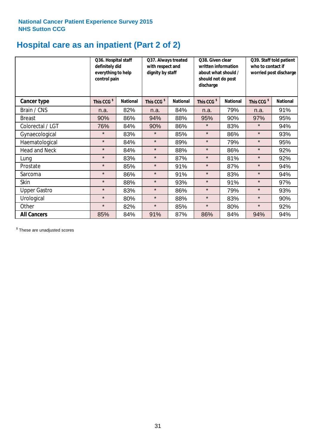# **Hospital care as an inpatient (Part 2 of 2)**

|                      | Q36. Hospital staff<br>definitely did<br>everything to help<br>control pain |                 | Q37. Always treated<br>with respect and<br>dignity by staff |                 | Q38. Given clear<br>written information<br>about what should /<br>should not do post<br>discharge |                 | Q39. Staff told patient<br>who to contact if<br>worried post discharge |                 |  |
|----------------------|-----------------------------------------------------------------------------|-----------------|-------------------------------------------------------------|-----------------|---------------------------------------------------------------------------------------------------|-----------------|------------------------------------------------------------------------|-----------------|--|
| Cancer type          | This CCG <sup>\$</sup>                                                      | <b>National</b> | This CCG <sup>\$</sup>                                      | <b>National</b> | This CCG <sup>\$</sup>                                                                            | <b>National</b> | This CCG <sup>\$</sup>                                                 | <b>National</b> |  |
| Brain / CNS          | n.a.                                                                        | 82%             | n.a.                                                        | 84%             | n.a.                                                                                              | 79%             | n.a.                                                                   | 91%             |  |
| <b>Breast</b>        | 90%                                                                         | 86%             | 94%                                                         | 88%             | 95%                                                                                               | 90%             | 97%                                                                    | 95%             |  |
| Colorectal / LGT     | 76%                                                                         | 84%             | 90%                                                         | 86%             | $\star$                                                                                           | 83%             | $\star$                                                                | 94%             |  |
| Gynaecological       | $\star$                                                                     | 83%             | $\star$                                                     | 85%             | $\star$                                                                                           | 86%             | $\star$                                                                | 93%             |  |
| Haematological       | $\star$                                                                     | 84%             | $\star$                                                     | 89%             | $\star$                                                                                           | 79%             | $\star$                                                                | 95%             |  |
| <b>Head and Neck</b> | $\star$                                                                     | 84%             | $\star$                                                     | 88%             | $\star$                                                                                           | 86%             | $\star$                                                                | 92%             |  |
| Lung                 | $\star$                                                                     | 83%             | $\star$                                                     | 87%             | $\star$                                                                                           | 81%             | $\star$                                                                | 92%             |  |
| Prostate             | $\star$                                                                     | 85%             | $\star$                                                     | 91%             | $\star$                                                                                           | 87%             | $\star$                                                                | 94%             |  |
| Sarcoma              | $\star$                                                                     | 86%             | $\star$                                                     | 91%             | $\star$                                                                                           | 83%             | $\star$                                                                | 94%             |  |
| Skin                 | $\star$                                                                     | 88%             | $\star$                                                     | 93%             | $\star$                                                                                           | 91%             | $\star$                                                                | 97%             |  |
| <b>Upper Gastro</b>  | $\star$                                                                     | 83%             | $\star$                                                     | 86%             | $\star$                                                                                           | 79%             | $\star$                                                                | 93%             |  |
| Urological           | $\star$                                                                     | 80%             | $\star$                                                     | 88%             | $\star$                                                                                           | 83%             | $\star$                                                                | 90%             |  |
| Other                | $\star$                                                                     | 82%             | $\star$                                                     | 85%             | $\star$                                                                                           | 80%             | $\star$                                                                | 92%             |  |
| <b>All Cancers</b>   | 85%                                                                         | 84%             | 91%                                                         | 87%             | 86%                                                                                               | 84%             | 94%                                                                    | 94%             |  |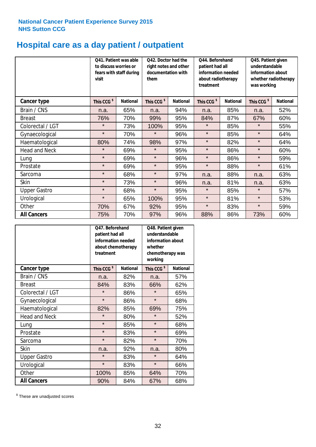# **Hospital care as a day patient / outpatient**

|                      | to discuss worries or<br>visit | Q41. Patient was able<br>fears with staff during | Q42. Doctor had the<br>right notes and other<br>documentation with<br>them |                 | Q44. Beforehand<br>patient had all<br>information needed<br>about radiotherapy<br>treatment |                 | Q45. Patient given<br>understandable<br>information about<br>whether radiotherapy<br>was working |                 |
|----------------------|--------------------------------|--------------------------------------------------|----------------------------------------------------------------------------|-----------------|---------------------------------------------------------------------------------------------|-----------------|--------------------------------------------------------------------------------------------------|-----------------|
| <b>Cancer type</b>   | This CCG <sup>\$</sup>         | <b>National</b>                                  | This CCG <sup>\$</sup>                                                     | <b>National</b> | This CCG <sup>\$</sup>                                                                      | <b>National</b> | This CCG <sup>\$</sup>                                                                           | <b>National</b> |
| Brain / CNS          | n.a.                           | 65%                                              | n.a.                                                                       | 94%             | n.a.                                                                                        | 85%             | n.a.                                                                                             | 52%             |
| <b>Breast</b>        | 76%                            | 70%                                              | 99%                                                                        | 95%             | 84%                                                                                         | 87%             | 67%                                                                                              | 60%             |
| Colorectal / LGT     | $\star$                        | 73%                                              | 100%                                                                       | 95%             | $\star$                                                                                     | 85%             | $\star$                                                                                          | 55%             |
| Gynaecological       | $\star$                        | 70%                                              | $\star$                                                                    | 96%             | $\star$                                                                                     | 85%             | $\star$                                                                                          | 64%             |
| Haematological       | 80%                            | 74%                                              | 98%                                                                        | 97%             | $\star$                                                                                     | 82%             | $\star$                                                                                          | 64%             |
| <b>Head and Neck</b> | $\star$                        | 69%                                              | $\star$                                                                    | 95%             | $\star$                                                                                     | 86%             | $\star$                                                                                          | 60%             |
| Lung                 | $\star$                        | 69%                                              | $\star$                                                                    | 96%             | $\star$                                                                                     | 86%             | $\star$                                                                                          | 59%             |
| Prostate             | $\star$                        | 69%                                              | $\star$                                                                    | 95%             | $\star$                                                                                     | 88%             | $\star$                                                                                          | 61%             |
| Sarcoma              | $\star$                        | 68%                                              | $\star$                                                                    | 97%             | n.a.                                                                                        | 88%             | n.a.                                                                                             | 63%             |
| Skin                 | $\star$                        | 73%                                              | $\star$                                                                    | 96%             | n.a.                                                                                        | 81%             | n.a.                                                                                             | 63%             |
| <b>Upper Gastro</b>  | $\star$                        | 68%                                              | $\star$                                                                    | 95%             | $\star$                                                                                     | 85%             | $\star$                                                                                          | 57%             |
| Urological           | $\star$                        | 65%                                              | 100%                                                                       | 95%             | $\star$                                                                                     | 81%             | $\star$                                                                                          | 53%             |
| Other                | 70%                            | 67%                                              | 92%                                                                        | 95%             | $\star$                                                                                     | 83%             | $\star$                                                                                          | 59%             |
| <b>All Cancers</b>   | 75%                            | 70%                                              | 97%                                                                        | 96%             | 88%                                                                                         | 86%             | 73%                                                                                              | 60%             |

|                      | Q47. Beforehand<br>patient had all<br>information needed<br>about chemotherapy<br>treatment |                 | Q48. Patient given<br>understandable<br>information about<br>whether<br>chemotherapy was<br>working |                 |  |
|----------------------|---------------------------------------------------------------------------------------------|-----------------|-----------------------------------------------------------------------------------------------------|-----------------|--|
| <b>Cancer type</b>   | This CCG <sup>\$</sup>                                                                      | <b>National</b> | This CCG <sup>\$</sup>                                                                              | <b>National</b> |  |
| Brain / CNS          | n.a.                                                                                        | 82%             | n.a.                                                                                                | 57%             |  |
| <b>Breast</b>        | 84%                                                                                         | 83%             | 66%                                                                                                 | 62%             |  |
| Colorectal / LGT     | $\star$                                                                                     | 86%             | $\star$                                                                                             | 65%             |  |
| Gynaecological       | $\star$                                                                                     | 86%             |                                                                                                     | 68%             |  |
| Haematological       | 85%<br>82%                                                                                  |                 | 69%                                                                                                 | 75%             |  |
| <b>Head and Neck</b> | $\star$                                                                                     | 80%             | $\star$                                                                                             | 52%             |  |
| Lung                 | $\star$                                                                                     | 85%             | $\star$                                                                                             | 68%             |  |
| Prostate             | $\star$                                                                                     | 83%             | $\star$                                                                                             | 69%             |  |
| Sarcoma              | $\star$                                                                                     | 82%             | $\star$                                                                                             | 70%             |  |
| <b>Skin</b>          | n.a.                                                                                        | 92%             | n.a.                                                                                                | 80%             |  |
| <b>Upper Gastro</b>  | $\star$                                                                                     | 83%             | $\star$                                                                                             | 64%             |  |
| Urological           | $\star$                                                                                     | 83%             | $\star$                                                                                             | 66%             |  |
| Other                | 100%                                                                                        | 85%             | 64%                                                                                                 | 70%             |  |
| <b>All Cancers</b>   | 90%                                                                                         | 84%             | 67%                                                                                                 | 68%             |  |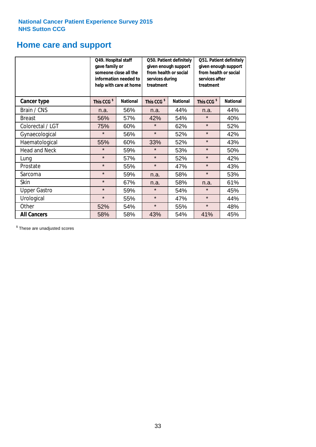# **Home care and support**

|                      | Q49. Hospital staff<br>gave family or | someone close all the<br>information needed to<br>help with care at home | Q50. Patient definitely<br>given enough support<br>from health or social<br>services during<br>treatment |                 | Q51. Patient definitely<br>given enough support<br>from health or social<br>services after<br>treatment |                 |  |
|----------------------|---------------------------------------|--------------------------------------------------------------------------|----------------------------------------------------------------------------------------------------------|-----------------|---------------------------------------------------------------------------------------------------------|-----------------|--|
| <b>Cancer type</b>   | This CCG <sup>\$</sup>                | <b>National</b>                                                          | This CCG <sup>\$</sup>                                                                                   | <b>National</b> | This CCG <sup>\$</sup>                                                                                  | <b>National</b> |  |
| Brain / CNS          | n.a.                                  | 56%                                                                      | n.a.                                                                                                     | 44%             | n.a.                                                                                                    | 44%             |  |
| <b>Breast</b>        | 56%                                   | 57%                                                                      | 42%                                                                                                      | 54%             | $\star$                                                                                                 | 40%             |  |
| Colorectal / LGT     | 75%                                   | 60%                                                                      | $\star$                                                                                                  | 62%             | $\star$                                                                                                 | 52%             |  |
| Gynaecological       | $\star$                               | 56%                                                                      | $\star$                                                                                                  | 52%             | $\star$                                                                                                 | 42%             |  |
| Haematological       | 55%                                   | 60%                                                                      | 33%                                                                                                      | 52%             | $\star$                                                                                                 | 43%             |  |
| <b>Head and Neck</b> | $\star$                               | 59%                                                                      | $\star$                                                                                                  | 53%             | $\star$                                                                                                 | 50%             |  |
| Lung                 | $\star$                               | 57%                                                                      | $\star$                                                                                                  | 52%             | $\star$                                                                                                 | 42%             |  |
| Prostate             | $\star$                               | 55%                                                                      | $\star$                                                                                                  | 47%             | $\star$                                                                                                 | 43%             |  |
| Sarcoma              | $\star$                               | 59%                                                                      | n.a.                                                                                                     | 58%             | $\star$                                                                                                 | 53%             |  |
| Skin                 | $\star$                               | 67%                                                                      | n.a.                                                                                                     | 58%             | n.a.                                                                                                    | 61%             |  |
| <b>Upper Gastro</b>  | $\star$                               | 59%                                                                      | $\star$                                                                                                  | 54%             | $\star$                                                                                                 | 45%             |  |
| Urological           | $\star$                               | 55%                                                                      | $\star$                                                                                                  | 47%             | $\star$                                                                                                 | 44%             |  |
| Other                | 52%                                   | 54%                                                                      | $\star$                                                                                                  | 55%             |                                                                                                         | 48%             |  |
| <b>All Cancers</b>   | 58%                                   | 58%                                                                      | 43%                                                                                                      | 54%             | 41%                                                                                                     | 45%             |  |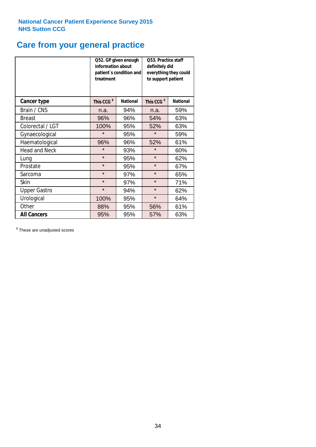# **Care from your general practice**

|                      | information about<br>treatment | Q52. GP given enough<br>patient's condition and | Q53. Practice staff<br>definitely did<br>everything they could<br>to support patient |                 |  |
|----------------------|--------------------------------|-------------------------------------------------|--------------------------------------------------------------------------------------|-----------------|--|
| <b>Cancer type</b>   | This CCG <sup>\$</sup>         | <b>National</b>                                 | This CCG <sup>\$</sup>                                                               | <b>National</b> |  |
| Brain / CNS          | n.a.                           | 94%                                             | n.a.                                                                                 | 59%             |  |
| <b>Breast</b>        | 96%                            | 96%                                             | 54%                                                                                  | 63%             |  |
| Colorectal / LGT     | 100%                           | 95%                                             | 52%                                                                                  | 63%             |  |
| Gynaecological       | $\star$<br>95%                 |                                                 | $\star$                                                                              | 59%             |  |
| Haematological       | 96%                            | 96%                                             | 52%                                                                                  | 61%             |  |
| <b>Head and Neck</b> | $\star$                        | 93%                                             | $\star$                                                                              | 60%             |  |
| Lung                 | $\star$                        | 95%                                             | $\star$                                                                              | 62%             |  |
| Prostate             | $\star$                        | 95%                                             | $\star$                                                                              | 67%             |  |
| Sarcoma              | $\star$                        | 97%                                             | $\star$                                                                              | 65%             |  |
| <b>Skin</b>          | $\star$                        | 97%                                             | $\star$                                                                              | 71%             |  |
| <b>Upper Gastro</b>  | $\star$                        | 94%                                             | $\star$                                                                              | 62%             |  |
| Urological           | 100%                           | 95%                                             | $\star$                                                                              | 64%             |  |
| Other                | 88%                            | 95%                                             | 56%                                                                                  | 61%             |  |
| <b>All Cancers</b>   | 95%                            | 95%                                             | 57%                                                                                  | 63%             |  |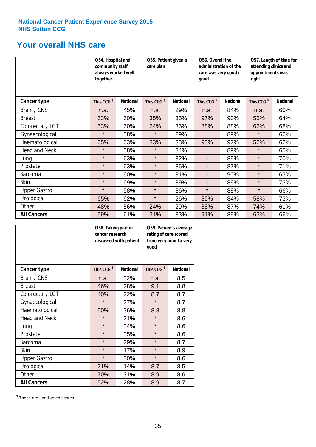# **Your overall NHS care**

|                      | together               | Q54. Hospital and<br>community staff<br>always worked well |                        | Q55. Patient given a | Q56. Overall the<br>administration of the<br>care was very good /<br>qood |                 | Q57. Length of time for<br>attending clinics and<br>appointments was<br>right |                 |
|----------------------|------------------------|------------------------------------------------------------|------------------------|----------------------|---------------------------------------------------------------------------|-----------------|-------------------------------------------------------------------------------|-----------------|
| <b>Cancer type</b>   | This CCG <sup>\$</sup> | <b>National</b>                                            | This CCG <sup>\$</sup> | <b>National</b>      | This CCG <sup>\$</sup>                                                    | <b>National</b> | This CCG <sup>\$</sup>                                                        | <b>National</b> |
| Brain / CNS          | n.a.                   | 45%                                                        | n.a.                   | 29%                  | n.a.                                                                      | 84%             | n.a.                                                                          | 60%             |
| <b>Breast</b>        | 53%                    | 60%                                                        | 35%                    | 35%                  | 97%                                                                       | 90%             | 55%                                                                           | 64%             |
| Colorectal / LGT     | 53%                    | 60%                                                        | 24%                    | 36%                  | 88%                                                                       | 88%             | 66%                                                                           | 68%             |
| Gynaecological       | $\star$                | 58%                                                        | $\star$                | 29%                  | $\star$                                                                   | 89%             | $\star$                                                                       | 66%             |
| Haematological       | 65%                    | 63%                                                        | 33%                    | 33%                  | 93%                                                                       | 92%             | 52%                                                                           | 62%             |
| <b>Head and Neck</b> | $\star$                | 58%                                                        | $\star$                | 34%                  | $\star$                                                                   | 89%             | $\star$                                                                       | 65%             |
| Lung                 | $\star$                | 63%                                                        | $\star$                | 32%                  | $\star$                                                                   | 89%             | $\star$                                                                       | 70%             |
| Prostate             | $\star$                | 63%                                                        | $\star$                | 36%                  | $\star$                                                                   | 87%             | $\star$                                                                       | 71%             |
| Sarcoma              | $\star$                | 60%                                                        | $\star$                | 31%                  | $\star$                                                                   | 90%             | $\star$                                                                       | 63%             |
| Skin                 | $\star$                | 69%                                                        | $\star$                | 39%                  | $\star$                                                                   | 89%             | $\star$                                                                       | 73%             |
| <b>Upper Gastro</b>  | $\star$                | 58%                                                        | $\star$                | 36%                  | $\star$                                                                   | 88%             | $\star$                                                                       | 66%             |
| Urological           | 65%                    | 62%                                                        | $\star$                | 26%                  | 85%                                                                       | 84%             | 58%                                                                           | 73%             |
| Other                | 48%                    | 56%                                                        | 24%                    | 29%                  | 88%                                                                       | 87%             | 74%                                                                           | 61%             |
| <b>All Cancers</b>   | 59%                    | 61%                                                        | 31%                    | 33%                  | 91%                                                                       | 89%             | 63%                                                                           | 66%             |

|                      | Q58. Taking part in<br>cancer research | discussed with patient | Q59. Patient's average<br>rating of care scored<br>from very poor to very<br>good |                 |  |
|----------------------|----------------------------------------|------------------------|-----------------------------------------------------------------------------------|-----------------|--|
| <b>Cancer type</b>   | This CCG <sup>\$</sup>                 | <b>National</b>        | This CCG <sup>\$</sup>                                                            | <b>National</b> |  |
| Brain / CNS          | n.a.                                   | 32%                    | n.a.                                                                              | 8.5             |  |
| <b>Breast</b>        | 46%                                    | 28%                    | 9.1                                                                               | 8.8             |  |
| Colorectal / LGT     | 40%                                    | 22%                    | 8.7                                                                               | 8.7             |  |
| Gynaecological       | $\star$<br>27%                         |                        | $\star$                                                                           | 8.7             |  |
| Haematological       | 50%                                    | 36%                    |                                                                                   | 8.8             |  |
| <b>Head and Neck</b> | $\star$                                | 21%                    | $\star$                                                                           | 8.6             |  |
| Lung                 | $\star$                                | 34%                    | $\star$                                                                           | 8.6             |  |
| Prostate             | $\star$                                | 35%                    | $\star$                                                                           | 8.6             |  |
| Sarcoma              | $\star$                                | 29%                    | $\star$                                                                           | 8.7             |  |
| Skin                 | $\star$                                | 17%                    | $\star$                                                                           | 8.9             |  |
| <b>Upper Gastro</b>  | $\star$                                | 30%                    | $\star$                                                                           | 8.6             |  |
| Urological           | 21%                                    | 14%                    | 8.7                                                                               | 8.5             |  |
| Other                | 70%                                    | 31%                    | 8.9                                                                               | 8.6             |  |
| <b>All Cancers</b>   | 52%                                    | 28%                    | 8.9                                                                               | 8.7             |  |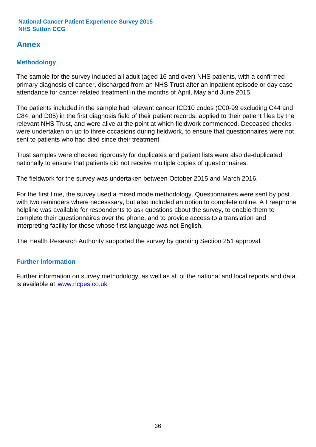# **Annex**

# **Methodology**

The sample for the survey included all adult (aged 16 and over) NHS patients, with a confirmed primary diagnosis of cancer, discharged from an NHS Trust after an inpatient episode or day case attendance for cancer related treatment in the months of April, May and June 2015.

The patients included in the sample had relevant cancer ICD10 codes (C00-99 excluding C44 and C84, and D05) in the first diagnosis field of their patient records, applied to their patient files by the relevant NHS Trust, and were alive at the point at which fieldwork commenced. Deceased checks were undertaken on up to three occasions during fieldwork, to ensure that questionnaires were not sent to patients who had died since their treatment.

Trust samples were checked rigorously for duplicates and patient lists were also de-duplicated nationally to ensure that patients did not receive multiple copies of questionnaires.

The fieldwork for the survey was undertaken between October 2015 and March 2016.

For the first time, the survey used a mixed mode methodology. Questionnaires were sent by post with two reminders where necesssary, but also included an option to complete online. A Freephone helpline was available for respondents to ask questions about the survey, to enable them to complete their questionnaires over the phone, and to provide access to a translation and interpreting facility for those whose first language was not English.

The Health Research Authority supported the survey by granting Section 251 approval.

# **Further information**

Further information on survey methodology, as well as all of the national and local reports and data, is available at www.ncpes.co.uk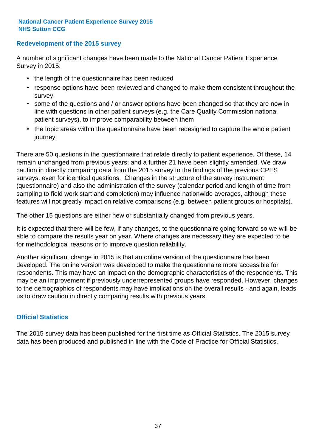### **Redevelopment of the 2015 survey**

A number of significant changes have been made to the National Cancer Patient Experience Survey in 2015:

- the length of the questionnaire has been reduced
- response options have been reviewed and changed to make them consistent throughout the survey
- some of the questions and / or answer options have been changed so that they are now in line with questions in other patient surveys (e.g. the Care Quality Commission national patient surveys), to improve comparability between them
- the topic areas within the questionnaire have been redesigned to capture the whole patient journey.

There are 50 questions in the questionnaire that relate directly to patient experience. Of these, 14 remain unchanged from previous years; and a further 21 have been slightly amended. We draw caution in directly comparing data from the 2015 survey to the findings of the previous CPES surveys, even for identical questions. Changes in the structure of the survey instrument (questionnaire) and also the administration of the survey (calendar period and length of time from sampling to field work start and completion) may influence nationwide averages, although these features will not greatly impact on relative comparisons (e.g. between patient groups or hospitals).

The other 15 questions are either new or substantially changed from previous years.

It is expected that there will be few, if any changes, to the questionnaire going forward so we will be able to compare the results year on year. Where changes are necessary they are expected to be for methodological reasons or to improve question reliability.

Another significant change in 2015 is that an online version of the questionnaire has been developed. The online version was developed to make the questionnaire more accessible for respondents. This may have an impact on the demographic characteristics of the respondents. This may be an improvement if previously underrepresented groups have responded. However, changes to the demographics of respondents may have implications on the overall results - and again, leads us to draw caution in directly comparing results with previous years.

### **Official Statistics**

The 2015 survey data has been published for the first time as Official Statistics. The 2015 survey data has been produced and published in line with the Code of Practice for Official Statistics.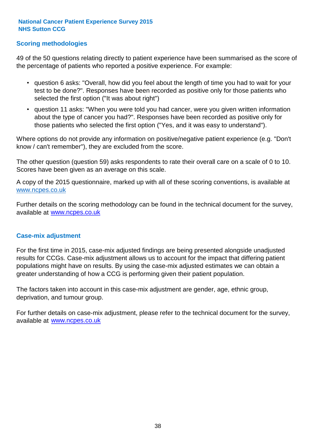### **Scoring methodologies**

49 of the 50 questions relating directly to patient experience have been summarised as the score of the percentage of patients who reported a positive experience. For example:

- question 6 asks: "Overall, how did you feel about the length of time you had to wait for your test to be done?". Responses have been recorded as positive only for those patients who selected the first option ("It was about right")
- question 11 asks: "When you were told you had cancer, were you given written information about the type of cancer you had?". Responses have been recorded as positive only for those patients who selected the first option ("Yes, and it was easy to understand").

Where options do not provide any information on positive/negative patient experience (e.g. "Don't know / can't remember"), they are excluded from the score.

The other question (question 59) asks respondents to rate their overall care on a scale of 0 to 10. Scores have been given as an average on this scale.

A copy of the 2015 questionnaire, marked up with all of these scoring conventions, is available at www.ncpes.co.uk

Further details on the scoring methodology can be found in the technical document for the survey, available at <u>www.ncpes.co.uk</u>

#### **Case-mix adjustment**

For the first time in 2015, case-mix adjusted findings are being presented alongside unadjusted results for CCGs. Case-mix adjustment allows us to account for the impact that differing patient populations might have on results. By using the case-mix adjusted estimates we can obtain a greater understanding of how a CCG is performing given their patient population.

The factors taken into account in this case-mix adjustment are gender, age, ethnic group, deprivation, and tumour group.

For further details on case-mix adjustment, please refer to the technical document for the survey, available at www.ncpes.co.uk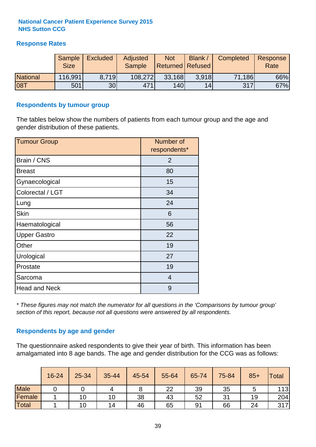### **Response Rates**

|                 | Sample      | <b>Excluded</b> | Adjusted      | <b>Not</b>              | Blank / | Completed | Response |
|-----------------|-------------|-----------------|---------------|-------------------------|---------|-----------|----------|
|                 | <b>Size</b> |                 | <b>Sample</b> | <b>Returned Refused</b> |         |           | Rate     |
| <b>National</b> | 116,991     | 8.719           | 108,272       | 33,168                  | 3.918   | 71,186    | 66%      |
| <b>08T</b>      | 501         | 30 <sub>l</sub> | 471           | 140                     | 14      | 317       | 67%      |

#### **Respondents by tumour group**

The tables below show the numbers of patients from each tumour group and the age and gender distribution of these patients.

| <b>Tumour Group</b>  | Number of<br>respondents* |  |  |
|----------------------|---------------------------|--|--|
| Brain / CNS          | $\overline{2}$            |  |  |
| <b>Breast</b>        | 80                        |  |  |
| Gynaecological       | 15                        |  |  |
| Colorectal / LGT     | 34                        |  |  |
| Lung                 | 24                        |  |  |
| <b>Skin</b>          | 6                         |  |  |
| Haematological       | 56                        |  |  |
| <b>Upper Gastro</b>  | 22                        |  |  |
| Other                | 19                        |  |  |
| Urological           | 27                        |  |  |
| Prostate             | 19                        |  |  |
| Sarcoma              | $\overline{4}$            |  |  |
| <b>Head and Neck</b> | 9                         |  |  |

*\* These figures may not match the numerator for all questions in the 'Comparisons by tumour group' section of this report, because not all questions were answered by all respondents.*

### **Respondents by age and gender**

The questionnaire asked respondents to give their year of birth. This information has been amalgamated into 8 age bands. The age and gender distribution for the CCG was as follows:

|             | 16-24 | 25-34 | 35-44 | 45-54 | 55-64 | 65-74 | 75-84 | $85+$ | <b>Total</b> |
|-------------|-------|-------|-------|-------|-------|-------|-------|-------|--------------|
| <b>Male</b> |       |       |       | o     | 22    | 39    | 35    |       | 113          |
| Female      |       | 10    | 10    | 38    | 43    | 52    | 31    | 19    | 204          |
| Total       |       | 10    | 14    | 46    | 65    | 91    | 66    | 24    | 317          |